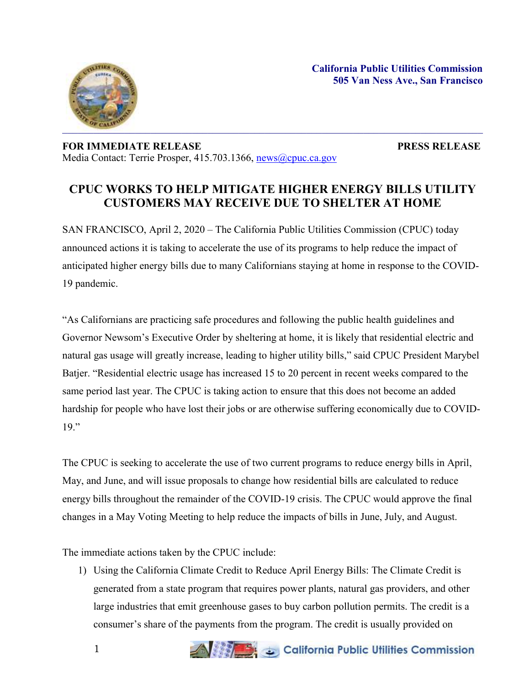

## **FOR IMMEDIATE RELEASE PRESS RELEASE** Media Contact: Terrie Prosper, 415.703.1366, [news@cpuc.ca.gov](mailto:news@cpuc.ca.gov)

## **CPUC WORKS TO HELP MITIGATE HIGHER ENERGY BILLS UTILITY CUSTOMERS MAY RECEIVE DUE TO SHELTER AT HOME**

SAN FRANCISCO, April 2, 2020 – The California Public Utilities Commission (CPUC) today announced actions it is taking to accelerate the use of its programs to help reduce the impact of anticipated higher energy bills due to many Californians staying at home in response to the COVID-19 pandemic.

"As Californians are practicing safe procedures and following the public health guidelines and Governor Newsom's Executive Order by sheltering at home, it is likely that residential electric and natural gas usage will greatly increase, leading to higher utility bills," said CPUC President Marybel Batjer. "Residential electric usage has increased 15 to 20 percent in recent weeks compared to the same period last year. The CPUC is taking action to ensure that this does not become an added hardship for people who have lost their jobs or are otherwise suffering economically due to COVID-19."

The CPUC is seeking to accelerate the use of two current programs to reduce energy bills in April, May, and June, and will issue proposals to change how residential bills are calculated to reduce energy bills throughout the remainder of the COVID-19 crisis. The CPUC would approve the final changes in a May Voting Meeting to help reduce the impacts of bills in June, July, and August.

The immediate actions taken by the CPUC include:

1) Using the California Climate Credit to Reduce April Energy Bills: The Climate Credit is generated from a state program that requires power plants, natural gas providers, and other large industries that emit greenhouse gases to buy carbon pollution permits. The credit is a consumer's share of the payments from the program. The credit is usually provided on

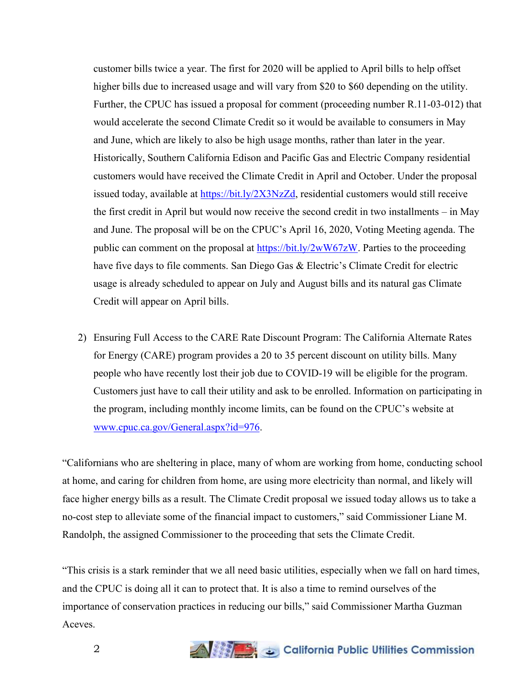customer bills twice a year. The first for 2020 will be applied to April bills to help offset higher bills due to increased usage and will vary from \$20 to \$60 depending on the utility. Further, the CPUC has issued a proposal for comment (proceeding number R.11-03-012) that would accelerate the second Climate Credit so it would be available to consumers in May and June, which are likely to also be high usage months, rather than later in the year. Historically, Southern California Edison and Pacific Gas and Electric Company residential customers would have received the Climate Credit in April and October. Under the proposal issued today, available at [https://bit.ly/2X3NzZd,](https://bit.ly/2X3NzZd) residential customers would still receive the first credit in April but would now receive the second credit in two installments – in May and June. The proposal will be on the CPUC's April 16, 2020, Voting Meeting agenda. The public can comment on the proposal at [https://bit.ly/2wW67zW.](https://bit.ly/2wW67zW) Parties to the proceeding have five days to file comments. San Diego Gas & Electric's Climate Credit for electric usage is already scheduled to appear on July and August bills and its natural gas Climate Credit will appear on April bills.

2) Ensuring Full Access to the CARE Rate Discount Program: The California Alternate Rates for Energy (CARE) program provides a 20 to 35 percent discount on utility bills. Many people who have recently lost their job due to COVID-19 will be eligible for the program. Customers just have to call their utility and ask to be enrolled. Information on participating in the program, including monthly income limits, can be found on the CPUC's website at [www.cpuc.ca.gov/General.aspx?id=976.](http://www.cpuc.ca.gov/General.aspx?id=976)

"Californians who are sheltering in place, many of whom are working from home, conducting school at home, and caring for children from home, are using more electricity than normal, and likely will face higher energy bills as a result. The Climate Credit proposal we issued today allows us to take a no-cost step to alleviate some of the financial impact to customers," said Commissioner Liane M. Randolph, the assigned Commissioner to the proceeding that sets the Climate Credit.

"This crisis is a stark reminder that we all need basic utilities, especially when we fall on hard times, and the CPUC is doing all it can to protect that. It is also a time to remind ourselves of the importance of conservation practices in reducing our bills," said Commissioner Martha Guzman Aceves.

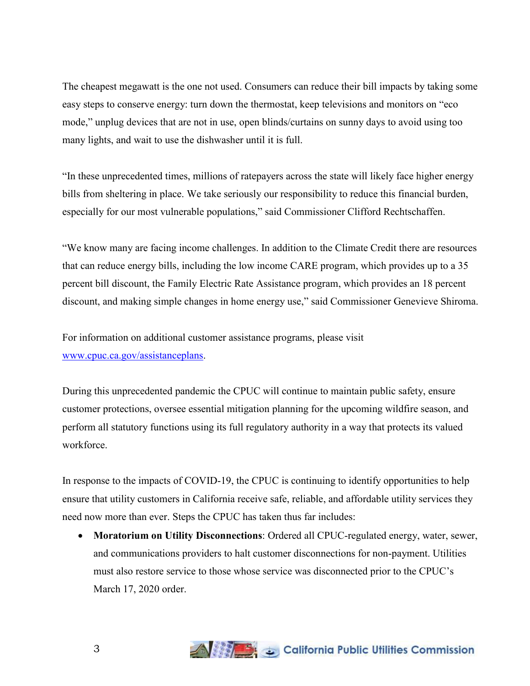The cheapest megawatt is the one not used. Consumers can reduce their bill impacts by taking some easy steps to conserve energy: turn down the thermostat, keep televisions and monitors on "eco mode," unplug devices that are not in use, open blinds/curtains on sunny days to avoid using too many lights, and wait to use the dishwasher until it is full.

"In these unprecedented times, millions of ratepayers across the state will likely face higher energy bills from sheltering in place. We take seriously our responsibility to reduce this financial burden, especially for our most vulnerable populations," said Commissioner Clifford Rechtschaffen.

"We know many are facing income challenges. In addition to the Climate Credit there are resources that can reduce energy bills, including the low income CARE program, which provides up to a 35 percent bill discount, the Family Electric Rate Assistance program, which provides an 18 percent discount, and making simple changes in home energy use," said Commissioner Genevieve Shiroma.

For information on additional customer assistance programs, please visit [www.cpuc.ca.gov/assistanceplans.](http://www.cpuc.ca.gov/assistanceplans)

During this unprecedented pandemic the CPUC will continue to maintain public safety, ensure customer protections, oversee essential mitigation planning for the upcoming wildfire season, and perform all statutory functions using its full regulatory authority in a way that protects its valued workforce.

In response to the impacts of COVID-19, the CPUC is continuing to identify opportunities to help ensure that utility customers in California receive safe, reliable, and affordable utility services they need now more than ever. Steps the CPUC has taken thus far includes:

 **Moratorium on Utility Disconnections**: Ordered all CPUC-regulated energy, water, sewer, and communications providers to halt customer disconnections for non-payment. Utilities must also restore service to those whose service was disconnected prior to the CPUC's March 17, 2020 order.